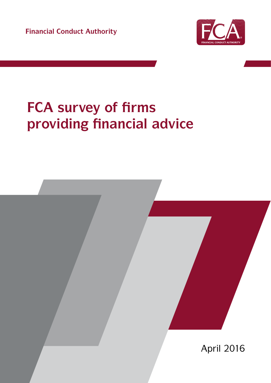**Financial Conduct Authority**



# **FCA survey of firms providing financial advice**

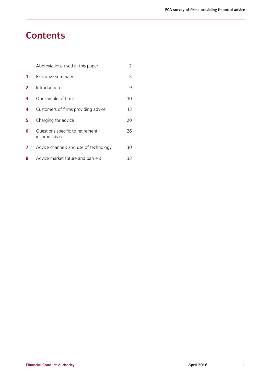## **Contents**

|   | Abbreviations used in this paper                  | 2  |
|---|---------------------------------------------------|----|
| 1 | Executive summary                                 | 5  |
| 2 | Introduction                                      | 9  |
| 3 | Our sample of firms                               | 10 |
| 4 | Customers of firms providing advice               | 13 |
| 5 | Charging for advice                               | 20 |
| 6 | Questions specific to retirement<br>income advice | 26 |
| 7 | Advice channels and use of technology             | 30 |
| 8 | Advice market future and barriers                 | 33 |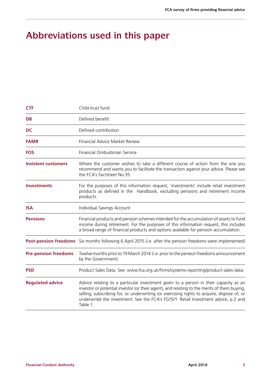# **Abbreviations used in this paper**

| <b>CTF</b>                  | Child trust fund                                                                                                                                                                                                                                                                                                                                                                     |  |  |  |  |  |
|-----------------------------|--------------------------------------------------------------------------------------------------------------------------------------------------------------------------------------------------------------------------------------------------------------------------------------------------------------------------------------------------------------------------------------|--|--|--|--|--|
| <b>DB</b>                   | Defined benefit                                                                                                                                                                                                                                                                                                                                                                      |  |  |  |  |  |
| <b>DC</b>                   | Defined contribution                                                                                                                                                                                                                                                                                                                                                                 |  |  |  |  |  |
| <b>FAMR</b>                 | Financial Advice Market Review                                                                                                                                                                                                                                                                                                                                                       |  |  |  |  |  |
| <b>FOS</b>                  | Financial Ombudsman Service                                                                                                                                                                                                                                                                                                                                                          |  |  |  |  |  |
| <b>Insistent customers</b>  | Where the customer wishes to take a different course of action from the one you<br>recommend and wants you to facilitate the transaction against your advice. Please see<br>the FCA's Factsheet No.35.                                                                                                                                                                               |  |  |  |  |  |
| <b>Investments</b>          | For the purposes of this information request, 'investments' include retail investment<br>products as defined in the Handbook, excluding pensions and retirement income<br>products.                                                                                                                                                                                                  |  |  |  |  |  |
| <b>ISA</b>                  | Individual Savings Account                                                                                                                                                                                                                                                                                                                                                           |  |  |  |  |  |
| <b>Pensions</b>             | Financial products and pension schemes intended for the accumulation of assets to fund<br>income during retirement. For the purposes of this information request, this includes<br>a broad range of financial products and options available for pension accumulation.                                                                                                               |  |  |  |  |  |
|                             | Post-pension freedoms Six months following 6 April 2015 (i.e. after the pension freedoms were implemented)                                                                                                                                                                                                                                                                           |  |  |  |  |  |
| <b>Pre-pension freedoms</b> | Twelve months prior to 19 March 2014 (i.e. prior to the pension freedoms announcement<br>by the Government)                                                                                                                                                                                                                                                                          |  |  |  |  |  |
| <b>PSD</b>                  | Product Sales Data. See: www.fca.org.uk/firms/systems-reporting/product-sales-data.                                                                                                                                                                                                                                                                                                  |  |  |  |  |  |
| <b>Regulated advice</b>     | Advice relating to a particular investment given to a person in their capacity as an<br>investor or potential investor (or their agent), and relating to the merits of them buying,<br>selling, subscribing for, or underwriting (or exercising rights to acquire, dispose of, or<br>underwrite) the investment. See the FCA's FG15/1: Retail Investment advice, p.2 and<br>Table 1. |  |  |  |  |  |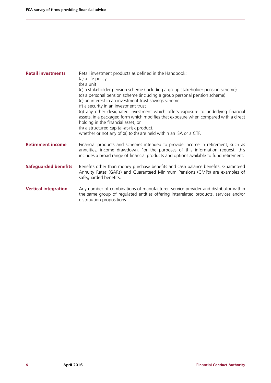| <b>Retail investments</b>   | Retail investment products as defined in the Handbook:<br>(a) a life policy<br>(b) a unit<br>(c) a stakeholder pension scheme (including a group stakeholder pension scheme)<br>(d) a personal pension scheme (including a group personal pension scheme)<br>(e) an interest in an investment trust savings scheme<br>(f) a security in an investment trust<br>(g) any other designated investment which offers exposure to underlying financial<br>assets, in a packaged form which modifies that exposure when compared with a direct<br>holding in the financial asset, or<br>(h) a structured capital-at-risk product,<br>whether or not any of (a) to (h) are held within an ISA or a CTF. |  |  |  |  |
|-----------------------------|-------------------------------------------------------------------------------------------------------------------------------------------------------------------------------------------------------------------------------------------------------------------------------------------------------------------------------------------------------------------------------------------------------------------------------------------------------------------------------------------------------------------------------------------------------------------------------------------------------------------------------------------------------------------------------------------------|--|--|--|--|
| <b>Retirement income</b>    | Financial products and schemes intended to provide income in retirement, such as<br>annuities, income drawdown. For the purposes of this information request, this<br>includes a broad range of financial products and options available to fund retirement.                                                                                                                                                                                                                                                                                                                                                                                                                                    |  |  |  |  |
| <b>Safeguarded benefits</b> | Benefits other than money purchase benefits and cash balance benefits. Guaranteed<br>Annuity Rates (GARs) and Guaranteed Minimum Pensions (GMPs) are examples of<br>safeguarded benefits.                                                                                                                                                                                                                                                                                                                                                                                                                                                                                                       |  |  |  |  |
| <b>Vertical integration</b> | Any number of combinations of manufacturer, service provider and distributor within<br>the same group of regulated entities offering interrelated products, services and/or<br>distribution propositions.                                                                                                                                                                                                                                                                                                                                                                                                                                                                                       |  |  |  |  |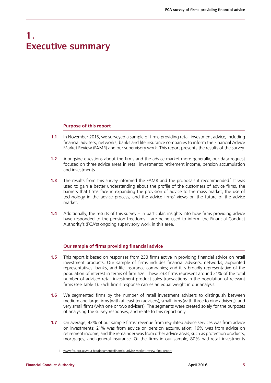### **1. Executive summary**

#### **Purpose of this report**

- **1.1** In November 2015, we surveyed a sample of firms providing retail investment advice, including financial advisers, networks, banks and life insurance companies to inform the Financial Advice Market Review (FAMR) and our supervisory work. This report presents the results of the survey.
- **1.2** Alongside questions about the firms and the advice market more generally, our data request focused on three advice areas in retail investments: retirement income, pension accumulation and investments.
- **1.3** The results from this survey informed the FAMR and the proposals it recommended.<sup>1</sup> It was used to gain a better understanding about the profile of the customers of advice firms, the barriers that firms face in expanding the provision of advice to the mass market, the use of technology in the advice process, and the advice firms' views on the future of the advice market.
- **1.4** Additionally, the results of this survey in particular, insights into how firms providing advice have responded to the pension freedoms – are being used to inform the Financial Conduct Authority's (FCA's) ongoing supervisory work in this area.

#### **Our sample of firms providing financial advice**

- **1.5** This report is based on responses from 233 firms active in providing financial advice on retail investment products. Our sample of firms includes financial advisers, networks, appointed representatives, banks, and life insurance companies; and it is broadly representative of the population of interest in terms of firm size. These 233 firms represent around 21% of the total number of advised retail investment product sales transactions in the population of relevant firms (see Table 1). Each firm's response carries an equal weight in our analysis.
- **1.6** We segmented firms by the number of retail investment advisers to distinguish between medium and large firms (with at least ten advisers), small firms (with three to nine advisers), and very small firms (with one or two advisers). The segments were created solely for the purposes of analysing the survey responses, and relate to this report only.
- **1.7** On average, 42% of our sample firms' revenue from regulated advice services was from advice on investments; 21% was from advice on pension accumulation; 16% was from advice on retirement income; and the remainder was from other advice areas, such as protection products, mortgages, and general insurance. Of the firms in our sample, 80% had retail investments

<sup>1</sup> [www.fca.org.uk/your-fca/documents/financial-advice-market-review-final-report](https://www.fca.org.uk/your-fca/documents/financial-advice-market-review-final-report).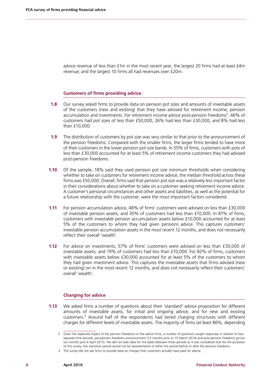advice revenue of less than £1m in the most recent year; the largest 20 firms had at least £4m revenue; and the largest 10 firms all had revenues over £20m.

#### **Customers of firms providing advice**

- **1.8** Our survey asked firms to provide data on pension pot sizes and amounts of investable assets of the customers (new and existing) that they have advised for retirement income, pension accumulation and investments. For retirement income advice post-pension freedoms<sup>2</sup>, 46% of customers had pot sizes of less than £50,000, 26% had less than £30,000, and 8% had less than £10,000.
- **1.9** The distribution of customers by pot size was very similar to that prior to the announcement of the pension freedoms. Compared with the smaller firms, the larger firms tended to have more of their customers in the lower pension pot size bands. In 55% of firms, customers with pots of less than £30,000 accounted for at least 5% of retirement income customers they had advised post-pension freedoms.
- **1.10** Of the sample, 18% said they used pension pot size minimum thresholds when considering whether to take on customers for retirement income advice; the median threshold across these firms was £50,000. Overall, firms said that pension pot size was a relatively less important factor in their considerations about whether to take on a customer seeking retirement income advice. A customer's personal circumstances and other assets and liabilities, as well as the potential for a future relationship with the customer, were the most important factors considered.
- **1.11** For pension accumulation advice, 48% of firms' customers were advised on less than £30,000 of investable pension assets, and 30% of customers had less than £10,000. In 81% of firms, customers with investable pension accumulation assets below £10,000 accounted for at least 5% of the customers to whom they had given pensions advice. This captures customers' investable pension accumulation assets in the most recent 12 months, and does not necessarily reflect their overall 'wealth'.
- **1.12** For advice on investments, 57% of firms' customers were advised on less than £30,000 of investable assets, and 19% of customers had less than £10,000. For 82% of firms, customers with investable assets below £30,000 accounted for at least 5% of the customers to whom they had given investment advice. This captures the investable assets that firms advised (new or existing) on in the most recent 12 months, and does not necessarily reflect their customers' overall 'wealth'.

#### **Charging for advice**

**1.13** We asked firms a number of questions about their 'standard' advice proposition for different amounts of investable assets, for initial and ongoing advice, and for new and existing customers.<sup>3</sup> Around half of the respondents had tiered charging structures with different charges for different levels of investable assets. The majority of firms (at least 86%, depending

<sup>2</sup> Given the expected impact of the pension freedoms on the advice firms, a number of questions sought responses in relation to two separate time periods: pre-pension freedoms announcement (12 months prior to 19 March 2014) and post-pension freedoms go-live (six months post 6 April 2015). We did not seek data for the dates between these periods as it was considered that for the purposes of this survey, this transition period would not be representative of either the period before or after the pension freedoms.

<sup>3</sup> The survey did not ask firms to provide data on charges that customers actually have paid for advice.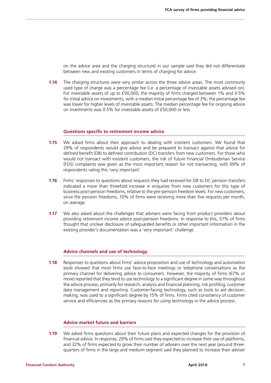on the advice area and the charging structure) in our sample said they did not differentiate between new and existing customers in terms of charging for advice.

**1.14** The charging structures were very similar across the three advice areas. The most commonly used type of charge was a percentage fee (i.e. a percentage of investable assets advised on). For investable assets of up to £50,000, the majority of firms charged between 1% and 4.5% for initial advice on investments, with a median initial percentage fee of 3%; the percentage fee was lower for higher levels of investable assets. The median percentage fee for ongoing advice on investments was 0.5% for investable assets of £50,000 or less.

#### **Questions specific to retirement income advice**

- **1.15** We asked firms about their approach to dealing with insistent customers. We found that 29% of respondents would give advice and be prepared to transact against that advice for defined benefit (DB) to defined contribution (DC) transfers from new customers. For those who would not transact with insistent customers, the risk of future Financial Ombudsman Service (FOS) complaints was given as the most important reason for not transacting, with 69% of respondents rating this 'very important'.
- **1.16** Firms' responses to questions about requests they had received for DB to DC pension transfers indicated a more than threefold increase in enquiries from new customers for this type of business post-pension freedoms, relative to the pre-pension freedom levels. For new customers, since the pension freedoms, 10% of firms were receiving more than five requests per month, on average.
- **1.17** We also asked about the challenges that advisers were facing from product providers about providing retirement income advice post-pension freedoms. In response to this, 57% of firms thought that unclear disclosure of safeguarded benefits or other important information in the existing provider's documentation was a 'very important' challenge.

#### **Advice channels and use of technology**

**1.18** Responses to questions about firms' advice proposition and use of technology and automation tools showed that most firms use face-to-face meetings or telephone conversations as the primary channel for delivering advice to consumers. However, the majority of firms (67% or more) reported that they tend to use technology to a significant degree in some way throughout the advice process, primarily for research, analysis and financial planning, risk profiling, customer data management and reporting. Customer-facing technology, such as tools to aid decisionmaking, was used to a significant degree by 15% of firms. Firms cited consistency of customer service and efficiencies as the primary reasons for using technology in the advice process.

#### **Advice market future and barriers**

**1.19** We asked firms questions about their future plans and expected changes for the provision of financial advice. In response, 29% of firms said they expected to increase their use of platforms, and 32% of firms expected to grow their number of advisers over the next year (around threequarters of firms in the large and medium segment said they planned to increase their adviser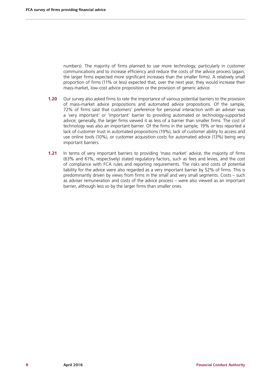numbers). The majority of firms planned to use more technology, particularly in customer communications and to increase efficiency and reduce the costs of the advice process (again, the larger firms expected more significant increases than the smaller firms). A relatively small proportion of firms (11% or less) expected that, over the next year, they would increase their mass-market, low-cost advice proposition or the provision of generic advice.

- **1.20** Our survey also asked firms to rate the importance of various potential barriers to the provision of mass-market advice propositions and automated advice propositions. Of the sample, 72% of firms said that customers' preference for personal interaction with an adviser was a 'very important' or 'important' barrier to providing automated or technology-supported advice; generally, the larger firms viewed it as less of a barrier than smaller firms. The cost of technology was also an important barrier. Of the firms in the sample, 19% or less reported a lack of customer trust in automated propositions (19%), lack of customer ability to access and use online tools (10%), or customer acquisition costs for automated advice (13%) being very important barriers.
- **1.21** In terms of very important barriers to providing 'mass market' advice, the majority of firms (63% and 61%, respectively) stated regulatory factors, such as fees and levies, and the cost of compliance with FCA rules and reporting requirements. The risks and costs of potential liability for the advice were also regarded as a very important barrier by 52% of firms. This is predominantly driven by views from firms in the small and very small segments. Costs – such as adviser remuneration and costs of the advice process – were also viewed as an important barrier, although less so by the larger firms than smaller ones.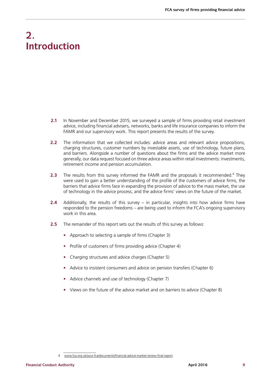# **2. Introduction**

- **2.1** In November and December 2015, we surveyed a sample of firms providing retail investment advice, including financial advisers, networks, banks and life insurance companies to inform the FAMR and our supervisory work. This report presents the results of the survey.
- **2.2** The information that we collected includes: advice areas and relevant advice propositions, charging structures, customer numbers by investable assets, use of technology, future plans, and barriers. Alongside a number of questions about the firms and the advice market more generally, our data request focused on three advice areas within retail investments: investments, retirement income and pension accumulation.
- **2.3** The results from this survey informed the FAMR and the proposals it recommended.<sup>4</sup> They were used to gain a better understanding of the profile of the customers of advice firms, the barriers that advice firms face in expanding the provision of advice to the mass market, the use of technology in the advice process, and the advice firms' views on the future of the market.
- **2.4** Additionally, the results of this survey in particular, insights into how advice firms have responded to the pension freedoms – are being used to inform the FCA's ongoing supervisory work in this area.
- **2.5** The remainder of this report sets out the results of this survey as follows:
	- **•** Approach to selecting a sample of firms (Chapter 3)
	- **•** Profile of customers of firms providing advice (Chapter 4)
	- **•** Charging structures and advice charges (Chapter 5)
	- **•** Advice to insistent consumers and advice on pension transfers (Chapter 6)
	- **•** Advice channels and use of technology (Chapter 7)
	- **•** Views on the future of the advice market and on barriers to advice (Chapter 8)

<sup>4</sup> [www.fca.org.uk/your-fca/documents/financial-advice-market-review-final-report](https://www.fca.org.uk/your-fca/documents/financial-advice-market-review-final-report).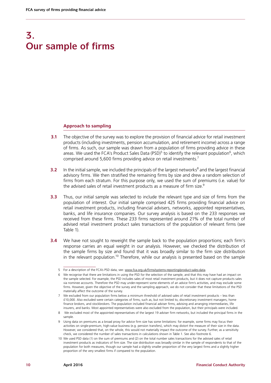## **3. Our sample of firms**

#### **Approach to sampling**

- **3.1** The objective of the survey was to explore the provision of financial advice for retail investment products (including investments, pension accumulation, and retirement income) across a range of firms. As such, our sample was drawn from a population of firms providing advice in these areas. We used the FCA's Product Sales Data (PSD)<sup>5</sup> to identify the relevant population<sup>6</sup>, which comprised around 5,600 firms providing advice on retail investments.7
- **3.2** In the initial sample, we included the principals of the largest networks<sup>8</sup> and the largest financial advisory firms. We then stratified the remaining firms by size and drew a random selection of firms from each stratum. For this purpose only, we used the sum of premiums (i.e. value) for the advised sales of retail investment products as a measure of firm size.<sup>9</sup>
- **3.3** Thus, our initial sample was selected to include the relevant type and size of firms from the population of interest. Our initial sample comprised 425 firms providing financial advice on retail investment products, including financial advisers, networks, appointed representatives, banks, and life insurance companies. Our survey analysis is based on the 233 responses we received from these firms. These 233 firms represented around 21% of the total number of advised retail investment product sales transactions of the population of relevant firms (see Table 1).
- **3.4** We have not sought to reweight the sample back to the population proportions; each firm's response carries an equal weight in our analysis. However, we checked the distribution of the sample firms by size and found that it was broadly similar to the firm size distribution in the relevant population.<sup>10</sup> Therefore, while our analysis is presented based on the sample

<sup>5</sup> For a description of the FCA's PSD data, see: [www.fca.org.uk/firms/systems-reporting/product-sales-data](http://www.fca.org.uk/firms/systems-reporting/product-sales-data).

<sup>6</sup> We recognise that there are limitations in using the PSD for the selection of the sample, and that this may have had an impact on the sample selected. For example, the PSD includes sales of most retail investment products, but it does not capture products sales via nominee accounts. Therefore the PSD may under-represent some elements of an advice firm's activities, and may exclude some firms. However, given the objective of the survey and the sampling approach, we do not consider that these limitations of the PSD materially affect the outcome of the survey.

<sup>7</sup> We excluded from our population firms below a minimum threshold of advised sales of retail investment products – less than £10,000. Also excluded were certain categories of firms, such as, but not limited to, discretionary investment managers, home finance brokers, and stockbrokers. The population included financial adviser firms, advising and arranging intermediaries, life insurers, and banks. Most appointed representatives were also excluded from the population, but their principals were included.

<sup>8</sup> We excluded most of the appointed representatives of the largest 19 adviser firm networks, but included the principal firms in the sample.

<sup>9</sup> Using data on premiums as a broad proxy for advice firm size has some limitations: for example, some firms may focus their activities on single-premium, high-value business (e.g. pension transfers), which may distort the measure of their size in the data. However, we considered that, on the whole, this would not materially impact the outcome of the survey. Further, as a sensitivity check, we considered the number of sales transactions in calculations shown in [Table 1.](#page-13-0) See also footnote 6.

<sup>10</sup> We used PSD data (1) on the sum of premiums and (2) on the total number sales transactions for the advised sales of retail investment products as indicators of firm size. The size distribution was broadly similar in the sample of respondents to that of the population for both measures, though our sample had a slightly smaller proportion of the very largest firms and a slightly higher proportion of the very smallest firms if compared to the population.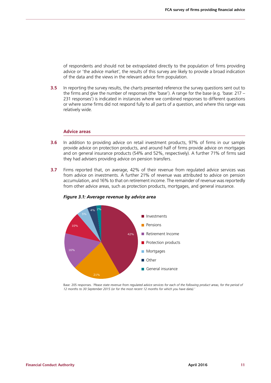of respondents and should not be extrapolated directly to the population of firms providing advice or 'the advice market', the results of this survey are likely to provide a broad indication of the data and the views in the relevant advice firm population.

**3.5** In reporting the survey results, the charts presented reference the survey questions sent out to the firms and give the number of responses (the 'base'). A range for the base (e.g. 'base:  $217 -$ 231 responses') is indicated in instances where we combined responses to different questions or where some firms did not respond fully to all parts of a question, and where this range was relatively wide.

#### **Advice areas**

- **3.6** In addition to providing advice on retail investment products, 97% of firms in our sample provide advice on protection products, and around half of firms provide advice on mortgages and on general insurance products (54% and 52%, respectively). A further 71% of firms said they had advisers providing advice on pension transfers.
- **3.7** Firms reported that, on average, 42% of their revenue from regulated advice services was from advice on investments. A further 21% of revenue was attributed to advice on pension accumulation, and 16% to that on retirement income. The remainder of revenue was reportedly from other advice areas, such as protection products, mortgages, and general insurance.



#### *Figure 3.1: Average revenue by advice area*

Base: 205 responses. '*Please state revenue from regulated advice services for each of the following product areas, for the period of 12 months to 30 September 2015 (or for the most recent 12 months for which you have data).'*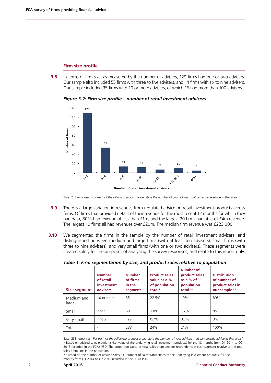#### **Firm size profile**

**3.8** In terms of firm size, as measured by the number of advisers, 129 firms had one or two advisers. Our sample also included 55 firms with three to five advisers, and 14 firms with six to nine advisers. Our sample included 35 firms with 10 or more advisers, of which 16 had more than 100 advisers.

*Figure 3.2: Firm size profile – number of retail investment advisers*



Base: 233 responses. '*For each of the following product areas, state the number of your advisers that can provide advice in that area.'* 

- **3.9** There is a large variation in revenues from regulated advice on retail investment products across firms. Of firms that provided details of their revenue for the most recent 12 months for which they had data, 80% had revenue of less than £1m, and the largest 20 firms had at least £4m revenue. The largest 10 firms all had revenues over £20m. The median firm revenue was £223,000.
- **3.10** We segmented the firms in the sample by the number of retail investment advisers, and distinguished between medium and large firms (with at least ten advisers), small firms (with three to nine advisers), and very small firms (with one or two advisers). These segments were created solely for the purposes of analysing the survey responses, and relate to this report only.

| Size segment        | <b>Number</b><br>of retail<br>investment<br>advisers | <b>Number</b><br>of firms<br>in the<br>segment | <b>Product sales</b><br>value as a %<br>of population<br>total* | Number of<br>product sales<br>as a % of<br>population<br>total** | <b>Distribution</b><br>of number of<br>product sales in<br>our sample** |
|---------------------|------------------------------------------------------|------------------------------------------------|-----------------------------------------------------------------|------------------------------------------------------------------|-------------------------------------------------------------------------|
| Medium and<br>large | 10 or more                                           | 35                                             | 22.5%                                                           | 19%                                                              | 89%                                                                     |
| Small               | $3$ to 9                                             | 69                                             | 1.0%                                                            | 1.7%                                                             | 8%                                                                      |
| Very small          | $1$ to $2$                                           | 129                                            | $0.7\%$                                                         | 0.7%                                                             | 3%                                                                      |
| Total               |                                                      | 233                                            | 24%                                                             | 21%                                                              | 100%                                                                    |

#### <span id="page-13-0"></span>*Table 1: Firm segmentation by size, and product sales relative to population*

Base: 233 responses. *'For each of the following product areas, state the number of your advisers that can provide advice in that area.'* \* Based on advised sales premiums (i.e. value of the underlying retail investment products) for the 18 months from Q1 2014 to Q2 2015 recorded in the FCA's PSD. The proportion captures total sales premiums for respondents in each segment relative to the total sales premiums in the population.

\*\* Based on the number of advised sales (i.e. number of sales transactions of the underlying investment products) for the 18 months from Q1 2014 to Q2 2015 recorded in the FCA's PSD.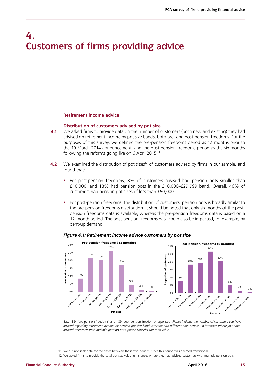### **4. Customers of firms providing advice**

#### **Retirement income advice**

#### **Distribution of customers advised by pot size**

- **4.1** We asked firms to provide data on the number of customers (both new and existing) they had advised on retirement income by pot size bands, both pre- and post-pension freedoms. For the purposes of this survey, we defined the pre-pension freedoms period as 12 months prior to the 19 March 2014 announcement, and the post-pension freedoms period as the six months following the reforms going live on 6 April 2015.<sup>11</sup>
- **4.2** We examined the distribution of pot sizes<sup>12</sup> of customers advised by firms in our sample, and found that:
	- **•** For post-pension freedoms, 8% of customers advised had pension pots smaller than £10,000, and 18% had pension pots in the £10,000–£29,999 band. Overall, 46% of customers had pension pot sizes of less than £50,000.
	- **•** For post-pension freedoms, the distribution of customers' pension pots is broadly similar to the pre-pension freedoms distribution. It should be noted that only six months of the postpension freedoms data is available, whereas the pre-pension freedoms data is based on a 12-month period. The post-pension freedoms data could also be impacted, for example, by pent-up demand.



#### <span id="page-14-0"></span>*Figure 4.1: Retirement income advice customers by pot size*

Base: 184 (pre-pension freedoms) and 189 (post-pension freedoms) responses. '*Please indicate the number of customers you have*  advised regarding retirement income, by pension pot size band, over the two different time periods. In instances where you have *advised customers with multiple pension pots, please consider the total value.'* 

<sup>11</sup> We did not seek data for the dates between these two periods, since this period was deemed transitional.

<sup>12</sup> We asked firms to provide the total pot size value in instances where they had advised customers with multiple pension pots.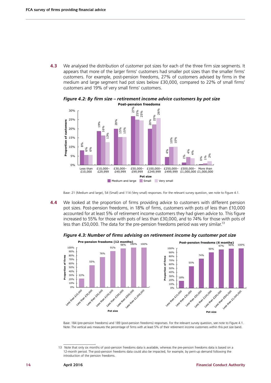**4.3** We analysed the distribution of customer pot sizes for each of the three firm size segments. It appears that more of the larger firms' customers had smaller pot sizes than the smaller firms' customers. For example, post-pension freedoms, 27% of customers advised by firms in the medium and large segment had pot sizes below £30,000, compared to 22% of small firms' customers and 19% of very small firms' customers.



*Figure 4.2: By firm size – retirement income advice customers by pot size* **Post-pension freedoms** 

**4.4** We looked at the proportion of firms providing advice to customers with different pension pot sizes. Post-pension freedoms, in 18% of firms, customers with pots of less than £10,000 accounted for at least 5% of retirement income customers they had given advice to. This figure increased to 55% for those with pots of less than £30,000, and to 74% for those with pots of less than £50,000. The data for the pre-pension freedoms period was very similar.<sup>13</sup>





Base: 184 (pre-pension freedoms) and 189 (post-pension freedoms) responses. For the relevant survey question, see note to [Figure 4.1.](#page-14-0) Note: The vertical axis measures the percentage of firms with at least 5% of their retirement income customers within this pot size band.

Base: 21 (Medium and large), 54 (Small) and 114 (Very small) responses. For the relevant survey question, see note to [Figure 4.1](#page-14-0).

<sup>13</sup> Note that only six months of post-pension freedoms data is available, whereas the pre-pension freedoms data is based on a 12-month period. The post-pension freedoms data could also be impacted, for example, by pent-up demand following the introduction of the pension freedoms.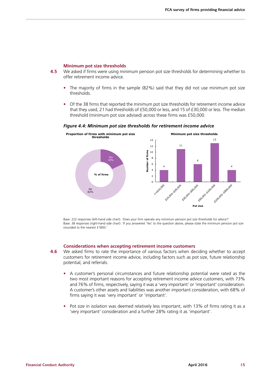#### **Minimum pot size thresholds**

- **4.5** We asked if firms were using minimum pension pot size thresholds for determining whether to offer retirement income advice.
	- **•** The majority of firms in the sample (82%) said that they did not use minimum pot size thresholds.
	- **•** Of the 38 firms that reported the minimum pot size thresholds for retirement income advice that they used, 21 had thresholds of £50,000 or less, and 15 of £30,000 or less. The median threshold (minimum pot size advised) across these firms was £50,000.

#### *Figure 4.4: Minimum pot size thresholds for retirement income advice*



Base: 222 responses (left-hand side chart). 'Does your firm operate any minimum pension pot size thresholds for advice?' Base: 38 responses (right-hand side chart). 'If you answered 'Yes' to the question above, please state the minimum pension pot size (rounded to the nearest £'000).'

#### **Considerations when accepting retirement income customers**

- **4.6** We asked firms to rate the importance of various factors when deciding whether to accept customers for retirement income advice, including factors such as pot size, future relationship potential, and referrals.
	- **•** A customer's personal circumstances and future relationship potential were rated as the two most important reasons for accepting retirement income advice customers, with 73% and 76% of firms, respectively, saying it was a 'very important' or 'important' consideration. A customer's other assets and liabilities was another important consideration, with 68% of firms saying it was 'very important' or 'important'.
	- **•** Pot size in isolation was deemed relatively less important, with 13% of firms rating it as a 'very important' consideration and a further 28% rating it as 'important'.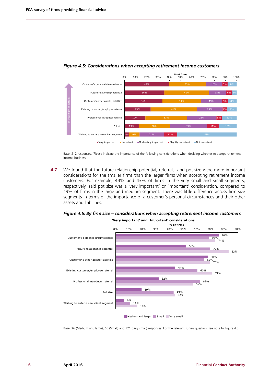

#### <span id="page-17-0"></span>*Figure 4.5: Considerations when accepting retirement income customers*

Base: 212 responses. 'Please indicate the importance of the following considerations when deciding whether to accept retirement income business.'

**4.7** We found that the future relationship potential, referrals, and pot size were more important considerations for the smaller firms than the larger firms when accepting retirement income customers. For example, 44% and 43% of firms in the very small and small segments, respectively, said pot size was a 'very important' or 'important' consideration, compared to 19% of firms in the large and medium segment. There was little difference across firm size segments in terms of the importance of a customer's personal circumstances and their other assets and liabilities.





Base: 26 (Medium and large), 66 (Small) and 121 (Very small) responses. For the relevant survey question, see note to [Figure 4.5](#page-17-0).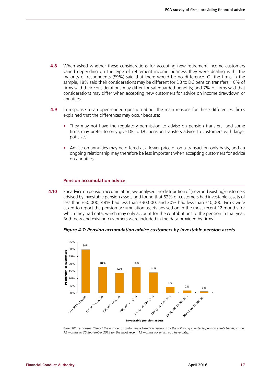- **4.8** When asked whether these considerations for accepting new retirement income customers varied depending on the type of retirement income business they were dealing with, the majority of respondents (59%) said that there would be no difference. Of the firms in the sample, 18% said their considerations may be different for DB to DC pension transfers; 10% of firms said their considerations may differ for safeguarded benefits; and 7% of firms said that considerations may differ when accepting new customers for advice on income drawdown or annuities.
- **4.9** In response to an open-ended question about the main reasons for these differences, firms explained that the differences may occur because:
	- **•** They may not have the regulatory permission to advise on pension transfers, and some firms may prefer to only give DB to DC pension transfers advice to customers with larger pot sizes.
	- **•** Advice on annuities may be offered at a lower price or on a transaction-only basis, and an ongoing relationship may therefore be less important when accepting customers for advice on annuities.

#### **Pension accumulation advice**

**4.10** For advice on pension accumulation, we analysed the distribution of (new and existing) customers advised by investable pension assets and found that 62% of customers had investable assets of less than £50,000; 48% had less than £30,000; and 30% had less than £10,000. Firms were asked to report the pension accumulation assets advised on in the most recent 12 months for which they had data, which may only account for the contributions to the pension in that year. Both new and existing customers were included in the data provided by firms.

<span id="page-18-0"></span>*Figure 4.7: Pension accumulation advice customers by investable pension assets*



Base: 201 responses. '*Report the number of customers advised on pensions by the following investable pension assets bands, in the 12 months to 30 September 2015 (or the most recent 12 months for which you have data).'*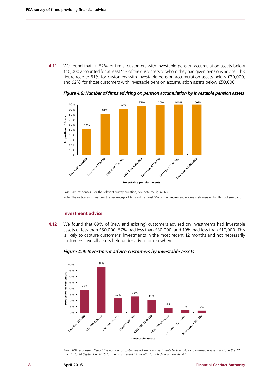**4.11** We found that, in 52% of firms, customers with investable pension accumulation assets below £10,000 accounted for at least 5% of the customers to whom they had given pensions advice. This figure rose to 81% for customers with investable pension accumulation assets below £30,000, and 92% for those customers with investable pension accumulation assets below £50,000.



*Figure 4.8: Number of firms advising on pension accumulation by investable pension assets*

Base: 201 responses. For the relevant survey question, see note to [Figure 4.7.](#page-18-0) Note: The vertical axis measures the percentage of firms with at least 5% of their retirement income customers within this pot size band.

#### **Investment advice**

**4.12** We found that 69% of (new and existing) customers advised on investments had investable assets of less than £50,000; 57% had less than £30,000; and 19% had less than £10,000. This is likely to capture customers' investments in the most recent 12 months and not necessarily customers' overall assets held under advice or elsewhere.



<span id="page-19-0"></span>

Base: 208 responses. '*Report the number of customers advised on investments by the following investable asset bands, in the 12 months to 30 September 2015 (or the most recent 12 months for which you have data).'*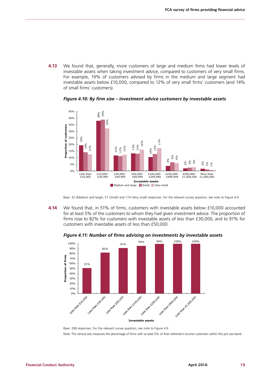**4.13** We found that, generally, more customers of large and medium firms had lower levels of investable assets when taking investment advice, compared to customers of very small firms. For example, 19% of customers advised by firms in the medium and large segment had investable assets below £10,000, compared to 12% of very small firms' customers (and 14% of small firms' customers).

*Figure 4.10: By firm size – investment advice customers by investable assets*



Base: 32 (Medium and large), 57 (Small) and 119 (Very small) responses. For the relevant survey question, see note to [Figure 4.9](#page-19-0).

**4.14** We found that, in 51% of firms, customers with investable assets below £10,000 accounted for at least 5% of the customers to whom they had given investment advice. The proportion of firms rose to 82% for customers with investable assets of less than £30,000, and to 91% for customers with investable assets of less than £50,000.



*Figure 4.11: Number of firms advising on investments by investable assets*

Base: 208 responses. For the relevant survey question, see note to [Figure 4.9.](#page-19-0) Note: The vertical axis measures the percentage of firms with at least 5% of their retirement income customers within this pot size band.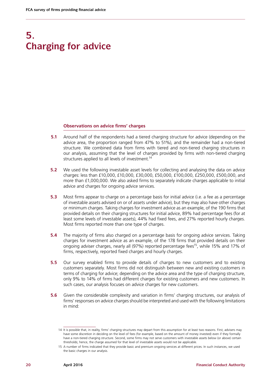# **5. Charging for advice**

#### **Observations on advice firms' charges**

- **5.1** Around half of the respondents had a tiered charging structure for advice (depending on the advice area, the proportion ranged from 47% to 51%), and the remainder had a non-tiered structure. We combined data from firms with tiered and non-tiered charging structures in our analysis, assuming that the level of charges provided by firms with non-tiered charging structures applied to all levels of investment.<sup>14</sup>
- **5.2** We used the following investable asset levels for collecting and analysing the data on advice charges: less than £10,000, £10,000, £30,000, £50,000, £100,000, £250,000, £500,000, and more than £1,000,000. We also asked firms to separately indicate charges applicable to initial advice and charges for ongoing advice services.
- **5.3** Most firms appear to charge on a percentage basis for initial advice (i.e. a fee as a percentage of investable assets advised on or of assets under advice), but they may also have other charges or minimum charges. Taking charges for investment advice as an example, of the 190 firms that provided details on their charging structures for initial advice, 89% had percentage fees (for at least some levels of investable assets), 44% had fixed fees, and 27% reported hourly charges. Most firms reported more than one type of charges.
- **5.4** The majority of firms also charged on a percentage basis for ongoing advice services. Taking charges for investment advice as an example, of the 178 firms that provided details on their ongoing adviser charges, nearly all (97%) reported percentage fees<sup>15</sup>, while 15% and 17% of firms, respectively, reported fixed charges and hourly charges.
- **5.5** Our survey enabled firms to provide details of charges to new customers and to existing customers separately. Most firms did not distinguish between new and existing customers in terms of charging for advice; depending on the advice area and the type of charging structure, only 9% to 14% of firms had different charges for existing customers and new customers. In such cases, our analysis focuses on advice charges for new customers.
- **5.6** Given the considerable complexity and variation in firms' charging structures, our analysis of firms' responses on advice charges should be interpreted and used with the following limitations in mind:

<sup>14</sup> It is possible that, in reality, firms' charging structures may depart from this assumption for at least two reasons. First, advisers may have some discretion in deciding on the level of fees (for example, based on the amount of money invested) even if they formally have a non-tiered charging structure. Second, some firms may not serve customers with investable assets below (or above) certain thresholds; hence, the charge assumed for that level of investable assets would not be applicable.

<sup>15</sup> A number of firms indicated that they provide basic and premium ongoing services at different prices. In such instances, we used the basic charges in our analysis.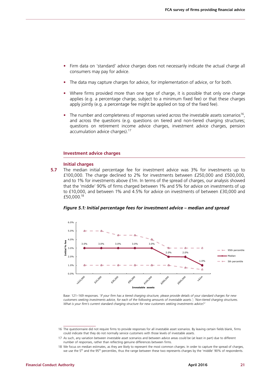- **•** Firm data on 'standard' advice charges does not necessarily indicate the actual charge all consumers may pay for advice.
- **•** The data may capture charges for advice, for implementation of advice, or for both.
- **•** Where firms provided more than one type of charge, it is possible that only one charge applies (e.g. a percentage charge, subject to a minimum fixed fee) or that these charges apply jointly (e.g. a percentage fee might be applied on top of the fixed fee).
- The number and completeness of responses varied across the investable assets scenarios<sup>16</sup>. and across the questions (e.g. questions on tiered and non-tiered charging structures; questions on retirement income advice charges, investment advice charges, pension accumulation advice charges).<sup>17</sup>

#### **Investment advice charges**

#### **Initial charges**

**5.7** The median initial percentage fee for investment advice was 3% for investments up to £100,000. The charge declined to 2% for investments between £250,000 and £500,000, and to 1% for investments above £1m. In terms of the spread of charges, our analysis showed that the 'middle' 90% of firms charged between 1% and 5% for advice on investments of up to £10,000, and between 1% and 4.5% for advice on investments of between £30,000 and £50,000.18



<span id="page-22-0"></span>

Base: 121–169 responses. '*If your firm has a tiered charging structure, please provide details of your standard charges for new customers seeking investments advice, for each of the following amounts of investable assets.'; 'Non-tiered charging structures. What is your firm's current standard charging structure for new customers seeking investments advice?'* 

<sup>16</sup> The questionnaire did not require firms to provide responses for all investable asset scenarios. By leaving certain fields blank, firms could indicate that they do not normally service customers with those levels of investable assets.

<sup>17</sup> As such, any variation between investable asset scenarios and between advice areas could be (at least in part) due to different number of responses, rather than reflecting genuine differences between firms.

<sup>18</sup> We focus on median estimates, as they are likely to represent the most common charges. In order to capture the spread of charges, we use the 5<sup>th</sup> and the 95<sup>th</sup> percentiles, thus the range between these two represents charges by the 'middle' 90% of respondents.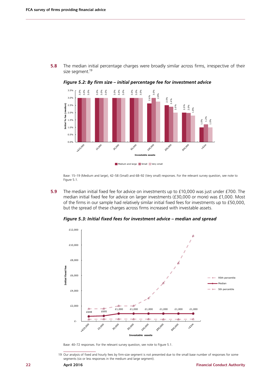<span id="page-23-0"></span>size segment.<sup>19</sup>



*Figure 5.2: By firm size – initial percentage fee for investment advice* 

**5.8** The median initial percentage charges were broadly similar across firms, irrespective of their

Base: 15–19 (Medium and large), 42–58 (Small) and 68–92 (Very small) responses. For the relevant survey question, see note to [Figure 5.1](#page-22-0).

**5.9** The median initial fixed fee for advice on investments up to £10,000 was just under £700. The median initial fixed fee for advice on larger investments (£30,000 or more) was £1,000. Most of the firms in our sample had relatively similar initial fixed fees for investments up to £50,000, but the spread of these charges across firms increased with investable assets.

*Figure 5.3: Initial fixed fees for investment advice – median and spread*



Base: 40–72 responses. For the relevant survey question, see note to [Figure 5.1](#page-22-0).

19 Our analysis of fixed and hourly fees by firm-size segment is not presented due to the small base number of responses for some segments (six or less responses in the medium and large segment).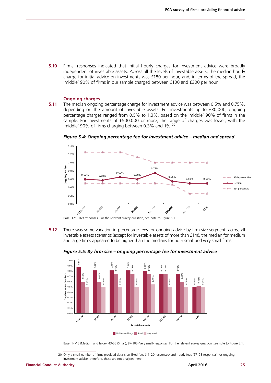**5.10** Firms' responses indicated that initial hourly charges for investment advice were broadly independent of investable assets. Across all the levels of investable assets, the median hourly charge for initial advice on investments was £180 per hour, and, in terms of the spread, the 'middle' 90% of firms in our sample charged between £100 and £300 per hour.

#### **Ongoing charges**

**5.11** The median ongoing percentage charge for investment advice was between 0.5% and 0.75%, depending on the amount of investable assets. For investments up to £30,000, ongoing percentage charges ranged from 0.5% to 1.3%, based on the 'middle' 90% of firms in the sample. For investments of £500,000 or more, the range of charges was lower, with the 'middle' 90% of firms charging between 0.3% and 1%.<sup>20</sup>

1.4% 1.2% 1.0% % fee **Ongoing % fee**  0.75% 0.8% 0.65% 0.60% 0.60% 0.58% Dujopuc 0.55% 0.50% 0.50% 95th percentile 0.6% Median 0.4% 5th percentile 0.2% 0.0% 10.000 LEZO DOO 30,000 **SD.000** 100,000 250,000 sonido **White** 

*Figure 5.4: Ongoing percentage fee for investment advice – median and spread*

Base: 121–169 responses. For the relevant survey question, see note to [Figure 5.1.](#page-22-0)

**5.12** There was some variation in percentage fees for ongoing advice by firm size segment: across all investable assets scenarios (except for investable assets of more than £1m), the median for medium and large firms appeared to be higher than the medians for both small and very small firms.





Base: 14-15 (Medium and large), 43-55 (Small), 87-105 (Very small) responses. For the relevant survey question, see note to [Figure 5.1.](#page-22-0)

20 Only a small number of firms provided details on fixed fees (11–20 responses) and hourly fees (27–28 responses) for ongoing investment advice; therefore, these are not analysed here.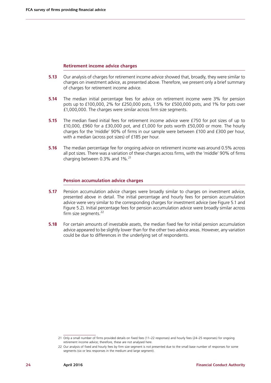#### **Retirement income advice charges**

- **5.13** Our analysis of charges for retirement income advice showed that, broadly, they were similar to charges on investment advice, as presented above. Therefore, we present only a brief summary of charges for retirement income advice.
- **5.14** The median initial percentage fees for advice on retirement income were 3% for pension pots up to £100,000, 2% for £250,000 pots, 1.5% for £500,000 pots, and 1% for pots over £1,000,000. The charges were similar across firm size segments.
- **5.15** The median fixed initial fees for retirement income advice were £750 for pot sizes of up to £10,000, £960 for a £30,000 pot, and £1,000 for pots worth £50,000 or more. The hourly charges for the 'middle' 90% of firms in our sample were between £100 and £300 per hour, with a median (across pot sizes) of £185 per hour.
- **5.16** The median percentage fee for ongoing advice on retirement income was around 0.5% across all pot sizes. There was a variation of these charges across firms, with the 'middle' 90% of firms charging between  $0.3\%$  and  $1\%$ .<sup>21</sup>

#### **Pension accumulation advice charges**

- **5.17** Pension accumulation advice charges were broadly similar to charges on investment advice. presented above in detail. The initial percentage and hourly fees for pension accumulation advice were very similar to the corresponding charges for investment advice (see [Figure 5.1](#page-22-0) and [Figure 5.2\)](#page-23-0). Initial percentage fees for pension accumulation advice were broadly similar across firm size segments. $22$
- **5.18** For certain amounts of investable assets, the median fixed fee for initial pension accumulation advice appeared to be slightly lower than for the other two advice areas. However, any variation could be due to differences in the underlying set of respondents.

<sup>21</sup> Only a small number of firms provided details on fixed fees (11–22 responses) and hourly fees (24–25 responses) for ongoing retirement income advice; therefore, these are not analysed here.

<sup>22</sup> Our analysis of fixed and hourly fees by firm size segment is not presented due to the small base number of responses for some segments (six or less responses in the medium and large segment).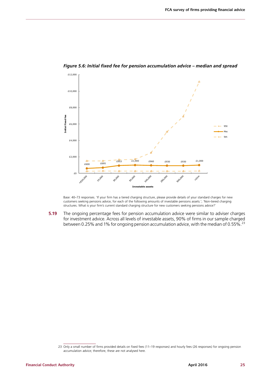

*Figure 5.6: Initial fixed fee for pension accumulation advice – median and spread*

Base: 40–73 responses. 'If your firm has a tiered charging structure, please provide details of your standard charges for new customers seeking pensions advice, for each of the following amounts of investable pensions assets.'; 'Non-tiered charging structures. What is your firm's current standard charging structure for new customers seeking pensions advice?'

**5.19** The ongoing percentage fees for pension accumulation advice were similar to adviser charges for investment advice. Across all levels of investable assets, 90% of firms in our sample charged between 0.25% and 1% for ongoing pension accumulation advice, with the median of 0.55%.<sup>23</sup>

<sup>23</sup> Only a small number of firms provided details on fixed fees (11–19 responses) and hourly fees (26 responses) for ongoing pension accumulation advice; therefore, these are not analysed here.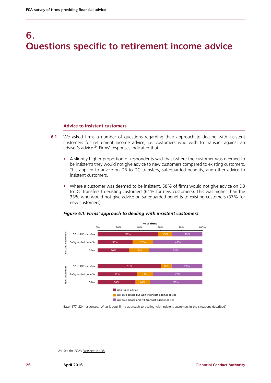# **6. Questions specific to retirement income advice**

#### **Advice to insistent customers**

- **6.1** We asked firms a number of questions regarding their approach to dealing with insistent customers for retirement income advice, i.e. customers who wish to transact against an adviser's advice.<sup>24</sup> Firms' responses indicated that:
	- **•** A slightly higher proportion of respondents said that (where the customer was deemed to be insistent) they would not give advice to new customers compared to existing customers. This applied to advice on DB to DC transfers, safeguarded benefits, and other advice to insistent customers.
	- **•** Where a customer was deemed to be insistent, 58% of firms would not give advice on DB to DC transfers to existing customers (61% for new customers). This was higher than the 33% who would not give advice on safeguarded benefits to existing customers (37% for new customers).



#### *Figure 6.1: Firms' approach to dealing with insistent customers*

Base: 177–224 responses. 'What is your firm's approach to dealing with insistent customers in the situations described?'

<sup>24</sup> See the FCA's **[Factsheet No.35](https://www.fca.org.uk/static/documents/factsheets/fs035-pension-reforms-insistent-clients.pdf)**.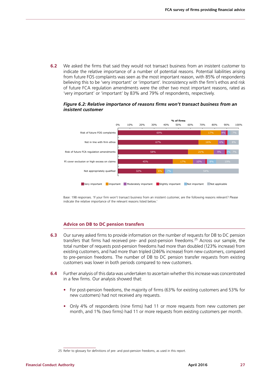**6.2** We asked the firms that said they would not transact business from an insistent customer to indicate the relative importance of a number of potential reasons. Potential liabilities arising from future FOS complaints was seen as the most important reason, with 85% of respondents believing this to be 'very important' or 'important'. Inconsistency with the firm's ethos and risk of future FCA regulation amendments were the other two most important reasons, rated as 'very important' or 'important' by 83% and 79% of respondents, respectively.

#### *Figure 6.2: Relative importance of reasons firms won't transact business from an insistent customer*



Base: 198 responses. 'If your firm won't transact business from an insistent customer, are the following reasons relevant? Please indicate the relative importance of the relevant reasons listed below.'

#### **Advice on DB to DC pension transfers**

- **6.3** Our survey asked firms to provide information on the number of requests for DB to DC pension transfers that firms had received pre- and post-pension freedoms.<sup>25</sup> Across our sample, the total number of requests post-pension freedoms had more than doubled (123% increase) from existing customers, and had more than tripled (246% increase) from new customers, compared to pre-pension freedoms. The number of DB to DC pension transfer requests from existing customers was lower in both periods compared to new customers.
- **6.4** Further analysis of this data was undertaken to ascertain whether this increase was concentrated in a few firms. Our analysis showed that:
	- **•** For post-pension freedoms, the majority of firms (63% for existing customers and 53% for new customers) had not received any requests.
	- **•** Only 4% of respondents (nine firms) had 11 or more requests from new customers per month, and 1% (two firms) had 11 or more requests from existing customers per month.

<sup>25</sup> Refer to glossary for definitions of pre- and post-pension freedoms, as used in this report.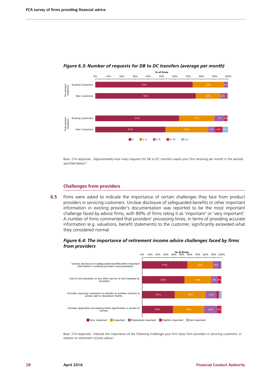

*Figure 6.3: Number of requests for DB to DC transfers (average per month)*

Base: 214 responses. 'Approximately how many requests for DB to DC transfers was/is your firm receiving per month in the periods specified below?'

#### **Challenges from providers**

**6.5** Firms were asked to indicate the importance of certain challenges they face from product providers in servicing customers. Unclear disclosure of safeguarded benefits or other important information in existing provider's documentation was reported to be the most important challenge faced by advice firms, with 89% of firms rating it as 'important' or 'very important'. A number of firms commented that providers' processing times, in terms of providing accurate information (e.g. valuations, benefit statements) to the customer, significantly exceeded what they considered normal.

<span id="page-29-0"></span>*Figure 6.4: The importance of retirement income advice challenges faced by firms from providers* 



Base: 214 responses. 'Indicate the importance of the following challenges your firm faces from providers in servicing customers, in relation to retirement income advice.'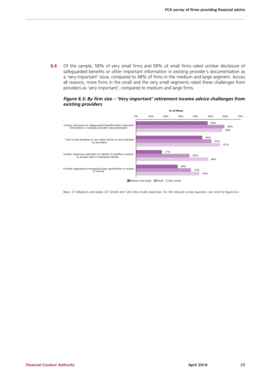**6.6** Of the sample, 58% of very small firms and 59% of small firms rated unclear disclosure of safeguarded benefits or other important information in existing provider's documentation as a 'very important' issue, compared to 48% of firms in the medium and large segment. Across all reasons, more firms in the small and the very small segments rated these challenges from providers as 'very important', compared to medium and large firms.

#### *Figure 6.5: By firm size – 'Very important' retirement income advice challenges from existing providers*



Base: 27 (Medium and large), 67 (Small) and 126 (Very small) responses. For the relevant survey question, see note to [Figure 6.4](#page-29-0).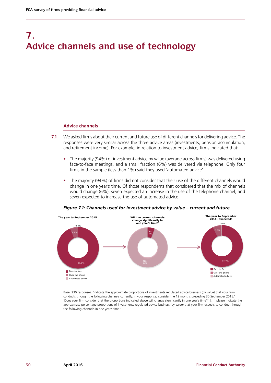# **7. Advice channels and use of technology**

#### **Advice channels**

- **7.1** We asked firms about their current and future use of different channels for delivering advice. The responses were very similar across the three advice areas (investments, pension accumulation, and retirement income). For example, in relation to investment advice, firms indicated that:
	- **•** The majority (94%) of investment advice by value (average across firms) was delivered using face-to-face meetings, and a small fraction (6%) was delivered via telephone. Only four firms in the sample (less than 1%) said they used 'automated advice'.
	- **•** The majority (94%) of firms did not consider that their use of the different channels would change in one year's time. Of those respondents that considered that the mix of channels would change (6%), seven expected an increase in the use of the telephone channel, and seven expected to increase the use of automated advice.



*Figure 7.1: Channels used for investment advice by value – current and future*

Base: 230 responses. 'Indicate the approximate proportions of investments regulated advice business (by value) that your firm conducts through the following channels currently. In your response, consider the 12 months preceding 30 September 2015.' 'Does your firm consider that the proportions indicated above will change significantly in one year's time?' '[…] please indicate the approximate percentage proportions of investments regulated advice business (by value) that your firm expects to conduct through the following channels in one year's time.'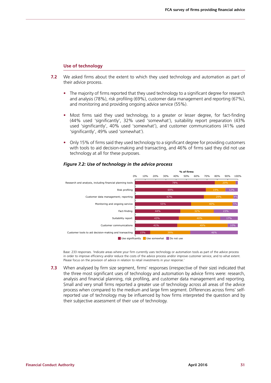#### **Use of technology**

- **7.2** We asked firms about the extent to which they used technology and automation as part of their advice process.
	- **•** The majority of firms reported that they used technology to a significant degree for research and analysis (78%), risk profiling (69%), customer data management and reporting (67%), and monitoring and providing ongoing advice service (55%).
	- **•** Most firms said they used technology, to a greater or lesser degree, for fact-finding (44% used 'significantly', 32% used 'somewhat'), suitability report preparation (43% used 'significantly', 40% used 'somewhat'), and customer communications (41% used 'significantly', 49% used 'somewhat').
	- **•** Only 15% of firms said they used technology to a significant degree for providing customers with tools to aid decision-making and transacting, and 46% of firms said they did not use technology at all for these purposes.



#### <span id="page-32-0"></span>*Figure 7.2: Use of technology in the advice process*

Base: 233 responses. 'Indicate areas where your firm currently uses technology or automation tools as part of the advice process in order to improve efficiency and/or reduce the costs of the advice process and/or improve customer service, and to what extent. Please focus on the provision of advice in relation to retail investments in your response.'

**7.3** When analysed by firm size segment, firms' responses (irrespective of their size) indicated that the three most significant uses of technology and automation by advice firms were: research, analysis and financial planning, risk profiling, and customer data management and reporting. Small and very small firms reported a greater use of technology across all areas of the advice process when compared to the medium and large firm segment. Differences across firms' selfreported use of technology may be influenced by how firms interpreted the question and by their subjective assessment of their use of technology.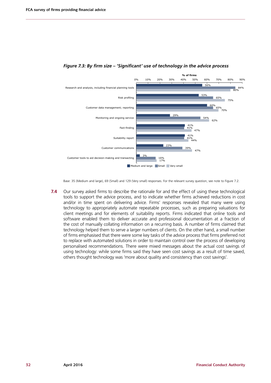

#### *Figure 7.3: By firm size – 'Significant' use of technology in the advice process*

Base: 35 (Medium and large), 69 (Small) and 129 (Very small) responses. For the relevant survey question, see note to [Figure 7.2](#page-32-0).

**7.4** Our survey asked firms to describe the rationale for and the effect of using these technological tools to support the advice process, and to indicate whether firms achieved reductions in cost and/or in time spent on delivering advice. Firms' responses revealed that many were using technology to appropriately automate repeatable processes, such as preparing valuations for client meetings and for elements of suitability reports. Firms indicated that online tools and software enabled them to deliver accurate and professional documentation at a fraction of the cost of manually collating information on a recurring basis. A number of firms claimed that technology helped them to serve a larger numbers of clients. On the other hand, a small number of firms emphasised that there were some key tasks of the advice process that firms preferred not to replace with automated solutions in order to maintain control over the process of developing personalised recommendations. There were mixed messages about the actual cost savings of using technology: while some firms said they have seen cost savings as a result of time saved, others thought technology was 'more about quality and consistency than cost savings'.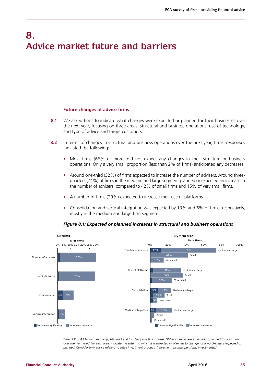## **8. Advice market future and barriers**

#### **Future changes at advice firms**

- **8.1** We asked firms to indicate what changes were expected or planned for their businesses over the next year, focusing on three areas: structural and business operations, use of technology, and type of advice and target customers.
- **8.2** In terms of changes in structural and business operations over the next year, firms' responses indicated the following:
	- **•** Most firms (66% or more) did not expect any changes in their structure or business operations. Only a very small proportion (less than 2% of firms) anticipated any decreases.
	- **•** Around one-third (32%) of firms expected to increase the number of advisers. Around threequarters (74%) of firms in the medium and large segment planned or expected an increase in the number of advisers, compared to 42% of small firms and 15% of very small firms.
	- **•** A number of firms (29%) expected to increase their use of platforms.
	- **•** Consolidation and vertical integration was expected by 13% and 6% of firms, respectively, mostly in the medium and large firm segment.



#### <span id="page-34-0"></span>*Figure 8.1: Expected or planned increases in structural and business operation*s

Base: 231 (34 Medium and large, 69 Small and 128 Very small) responses. '*What changes are expected or planned for your firm over the next year? For each area, indicate the extent to which it is expected or planned to change, or if no change is expected or planned. Consider only advice relating to retail investment products (retirement income, pensions, investments).*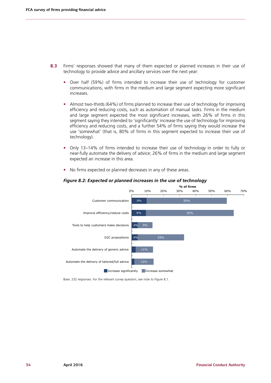- **8.3** Firms' responses showed that many of them expected or planned increases in their use of technology to provide advice and ancillary services over the next year:
	- **•** Over half (59%) of firms intended to increase their use of technology for customer communications, with firms in the medium and large segment expecting more significant increases.
	- **•** Almost two-thirds (64%) of firms planned to increase their use of technology for improving efficiency and reducing costs, such as automation of manual tasks. Firms in the medium and large segment expected the most significant increases, with 26% of firms in this segment saying they intended to 'significantly' increase the use of technology for improving efficiency and reducing costs, and a further 54% of firms saying they would increase the use 'somewhat' (that is, 80% of firms in this segment expected to increase their use of technology).
	- **•** Only 13–14% of firms intended to increase their use of technology in order to fully or near-fully automate the delivery of advice; 26% of firms in the medium and large segment expected an increase in this area.
	- **•** No firms expected or planned decreases in any of these areas.



#### *Figure 8.2: Expected or planned increases in the use of technology*

Base: 232 responses. For the relevant survey question, see note to [Figure 8.1.](#page-34-0)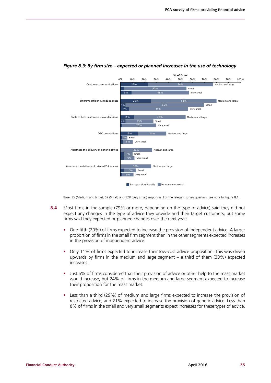

#### *Figure 8.3: By firm size – expected or planned increases in the use of technology*

Base: 35 (Medium and large), 69 (Small) and 128 (Very small) responses. For the relevant survey question, see note to [Figure 8.1](#page-34-0).

- **8.4** Most firms in the sample (79% or more, depending on the type of advice) said they did not expect any changes in the type of advice they provide and their target customers, but some firms said they expected or planned changes over the next year:
	- **•** One-fifth (20%) of firms expected to increase the provision of independent advice. A larger proportion of firms in the small firm segment than in the other segments expected increases in the provision of independent advice.
	- **•** Only 11% of firms expected to increase their low-cost advice proposition. This was driven upwards by firms in the medium and large segment – a third of them (33%) expected increases.
	- **•** Just 6% of firms considered that their provision of advice or other help to the mass market would increase, but 24% of firms in the medium and large segment expected to increase their proposition for the mass market.
	- **•** Less than a third (29%) of medium and large firms expected to increase the provision of restricted advice, and 21% expected to increase the provision of generic advice. Less than 8% of firms in the small and very small segments expect increases for these types of advice.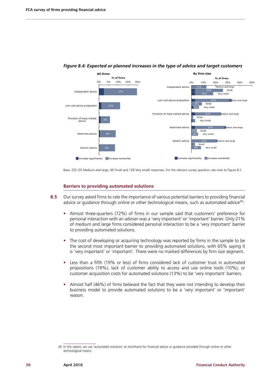

#### *Figure 8.4: Expected or planned increases in the type of advice and target customers*

Base: 232 (35 Medium and large, 69 Small and 128 Very small) responses. For the relevant survey question, see note to [Figure 8.1](#page-34-0).

#### **Barriers to providing automated solutions**

- **8.5** Our survey asked firms to rate the importance of various potential barriers to providing financial advice or guidance through online or other technological means, such as automated advice<sup>26</sup>:
	- **•** Almost three-quarters (72%) of firms in our sample said that customers' preference for personal interaction with an adviser was a 'very important' or 'important' barrier. Only 21% of medium and large firms considered personal interaction to be a 'very important' barrier to providing automated solutions.
	- **•** The cost of developing or acquiring technology was reported by firms in the sample to be the second most important barrier to providing automated solutions, with 65% saying it is 'very important' or 'important'. There were no marked differences by firm size segment.
	- **•** Less than a fifth (19% or less) of firms considered lack of customer trust in automated propositions (19%), lack of customer ability to access and use online tools (10%), or customer acquisition costs for automated solutions (13%) to be 'very important' barriers.
	- **•** Almost half (46%) of firms believed the fact that they were not intending to develop their business model to provide automated solutions to be a 'very important' or 'important' reason.

<sup>26</sup> In this report, we use 'automated solutions' as shorthand for financial advice or guidance provided through online or other technological means.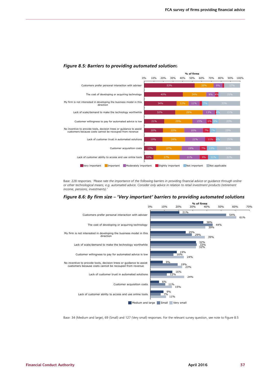

#### <span id="page-38-0"></span>*Figure 8.5: Barriers to providing automated solution*s

Base: 228 responses. '*Please rate the importance of the following barriers in providing financial advice or guidance through online or other technological means, e.g. automated advice. Consider only advice in relation to retail investment products (retirement income, pensions, investments).'*

#### *Figure 8.6: By firm size – 'Very important' barriers to providing automated solutions*



Base: 34 (Medium and large), 69 (Small) and 127 (Very small) responses. For the relevant survey question, see note to [Figure 8.5](#page-38-0)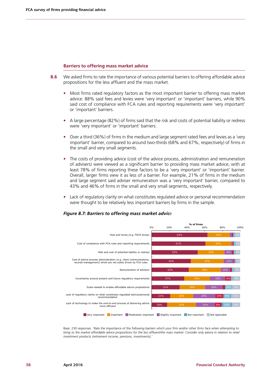#### **Barriers to offering mass market advice**

- **8.6** We asked firms to rate the importance of various potential barriers to offering affordable advice propositions for the less affluent and the mass market.
	- **•** Most firms rated regulatory factors as the most important barrier to offering mass market advice: 88% said fees and levies were 'very important' or 'important' barriers, while 90% said cost of compliance with FCA rules and reporting requirements were 'very important' or 'important' barriers.
	- **•** A large percentage (82%) of firms said that the risk and costs of potential liability or redress were 'very important' or 'important' barriers.
	- **•** Over a third (36%) of firms in the medium and large segment rated fees and levies as a 'very important' barrier, compared to around two-thirds (68% and 67%, respectively) of firms in the small and very small segments.
	- **•** The costs of providing advice (cost of the advice process, administration and remuneration of advisers) were viewed as a significant barrier to providing mass market advice, with at least 78% of firms reporting these factors to be a 'very important' or 'important' barrier. Overall, larger firms view it as less of a barrier. For example, 21% of firms in the medium and large segment said adviser remuneration was a 'very important' barrier, compared to 43% and 46% of firms in the small and very small segments, respectively.
	- **•** Lack of regulatory clarity on what constitutes regulated advice or personal recommendation were thought to be relatively less important barriers by firms in the sample.

#### <span id="page-39-0"></span>*Figure 8.7: Barriers to offering mass market advic*e



Base: 230 responses. '*Rate the importance of the following barriers which your firm and/or other firms face when attempting to bring to the market affordable advice propositions for the less affluent/the mass market. Consider only advice in relation to retail investment products (retirement income, pensions, investments).'*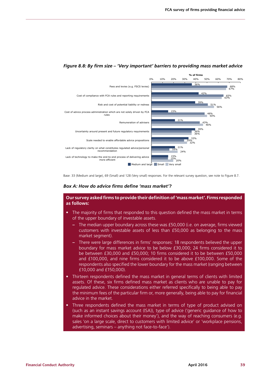

#### *Figure 8.8: By firm size – 'Very important' barriers to providing mass market advice*

Base: 33 (Medium and large), 69 (Small) and 128 (Very small) responses. For the relevant survey question, see note to [Figure 8.7](#page-39-0).

#### *Box A: How do advice firms define 'mass market'?*

#### **Our survey asked firms to provide their definition of 'mass market'. Firms responded as follows:**

- The majority of firms that responded to this question defined the mass market in terms of the upper boundary of investable assets.
	- **–** The median upper boundary across these was £50,000 (i.e. on average, firms viewed customers with investable assets of less than £50,000 as belonging to the mass market segment).
	- **–** There were large differences in firms' responses: 18 respondents believed the upper boundary for mass market advice to be below £30,000; 24 firms considered it to be between £30,000 and £50,000; 10 firms considered it to be between £50,000 and £100,000, and nine firms considered it to be above £100,000. Some of the respondents also specified the lower boundary for the mass market (ranging between £10,000 and £150,000).
- Thirteen respondents defined the mass market in general terms of clients with limited assets. Of these, six firms defined mass market as clients who are unable to pay for regulated advice. These considerations either referred specifically to being able to pay the minimum fees of the particular firm or, more generally, being able to pay for financial advice in the market.
- Three respondents defined the mass market in terms of type of product advised on (such as an instant savings account (ISA)), type of advice ('generic guidance of how to make informed choices about their money'), and the way of reaching consumers (e.g. sales 'on a large scale, direct to customers with limited advice' or 'workplace pensions, advertising, seminars – anything not face-to-face').